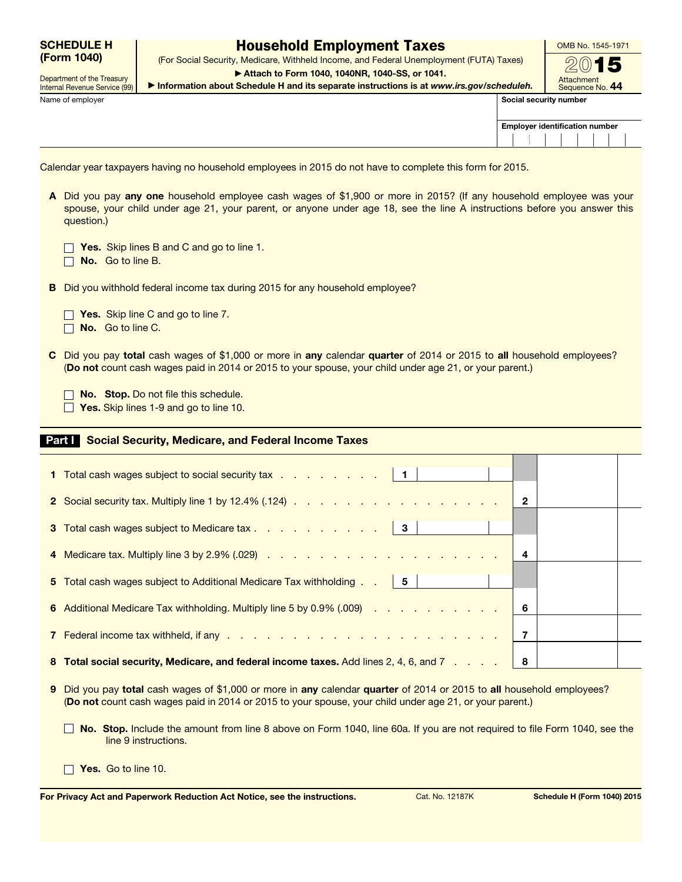|             | <b>SCHEDULE H</b> |
|-------------|-------------------|
| (Form 1040) |                   |

Department of the Treasury

## Household Employment Taxes

(For Social Security, Medicare, Withheld Income, and Federal Unemployment (FUTA) Taxes) ▶ Attach to Form 1040, 1040NR, 1040-SS, or 1041.

OMB No. 1545-1971

Internal Revenue Service (99) Name of employer **Social security number**  $\blacksquare$  Social security number

 $\Box$ 

▶ Information about Schedule H and its separate instructions is at *www.irs.gov/scheduleh.*

Attachment Sequence No. 44

2

| <b>Employer identification number</b> |  |  |  |  |  |  |  |
|---------------------------------------|--|--|--|--|--|--|--|
|                                       |  |  |  |  |  |  |  |

Calendar year taxpayers having no household employees in 2015 do not have to complete this form for 2015.

A Did you pay any one household employee cash wages of \$1,900 or more in 2015? (If any household employee was your spouse, your child under age 21, your parent, or anyone under age 18, see the line A instructions before you answer this question.)

| Yes. Skip lines B and C and go to line 1. |  |  |  |  |  |
|-------------------------------------------|--|--|--|--|--|
|                                           |  |  |  |  |  |

 $\Box$  No. Go to line B.

B Did you withhold federal income tax during 2015 for any household employee?

 $\Box$  Yes. Skip line C and go to line 7.

 $\Box$  No. Go to line C.

C Did you pay total cash wages of \$1,000 or more in any calendar quarter of 2014 or 2015 to all household employees? (Do not count cash wages paid in 2014 or 2015 to your spouse, your child under age 21, or your parent.)

No. Stop. Do not file this schedule.

 $\Box$  Yes. Skip lines 1-9 and go to line 10.

## Part I Social Security, Medicare, and Federal Income Taxes

| 1 Total cash wages subject to social security tax   1                                 |              |  |
|---------------------------------------------------------------------------------------|--------------|--|
|                                                                                       | $\mathbf{2}$ |  |
| 3 Total cash wages subject to Medicare tax 3                                          |              |  |
|                                                                                       | 4            |  |
| 5 Total cash wages subject to Additional Medicare Tax withholding   5                 |              |  |
| 6 Additional Medicare Tax withholding. Multiply line 5 by 0.9% (.009)                 | 6            |  |
|                                                                                       | 7            |  |
| 8 Total social security, Medicare, and federal income taxes. Add lines 2, 4, 6, and 7 | 8            |  |

- 9 Did you pay total cash wages of \$1,000 or more in any calendar quarter of 2014 or 2015 to all household employees? (Do not count cash wages paid in 2014 or 2015 to your spouse, your child under age 21, or your parent.)
	- No. Stop. Include the amount from line 8 above on Form 1040, line 60a. If you are not required to file Form 1040, see the line 9 instructions.

 $\Box$  Yes. Go to line 10.

For Privacy Act and Paperwork Reduction Act Notice, see the instructions. Cat. No. 12187K Schedule H (Form 1040) 2015